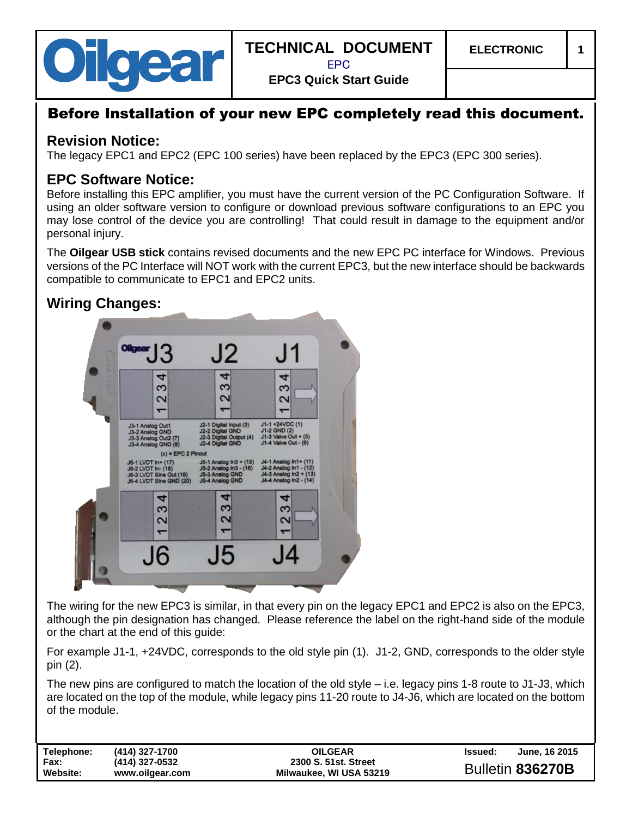

EPC

**EPC3 Quick Start Guide**

# Before Installation of your new EPC completely read this document.

### **Revision Notice:**

The legacy EPC1 and EPC2 (EPC 100 series) have been replaced by the EPC3 (EPC 300 series).

### **EPC Software Notice:**

Before installing this EPC amplifier, you must have the current version of the PC Configuration Software. If using an older software version to configure or download previous software configurations to an EPC you may lose control of the device you are controlling! That could result in damage to the equipment and/or personal injury.

The **Oilgear USB stick** contains revised documents and the new EPC PC interface for Windows. Previous versions of the PC Interface will NOT work with the current EPC3, but the new interface should be backwards compatible to communicate to EPC1 and EPC2 units.

## **Wiring Changes:**



The wiring for the new EPC3 is similar, in that every pin on the legacy EPC1 and EPC2 is also on the EPC3, although the pin designation has changed. Please reference the label on the right-hand side of the module or the chart at the end of this guide:

For example J1-1, +24VDC, corresponds to the old style pin (1). J1-2, GND, corresponds to the older style pin (2).

The new pins are configured to match the location of the old style – i.e. legacy pins 1-8 route to J1-J3, which are located on the top of the module, while legacy pins 11-20 route to J4-J6, which are located on the bottom of the module.

| Telephone:       | (414) 327-1700                    | <b>OILGEAR</b>                                  | <b>Issued:</b> | June, 16 2015    |
|------------------|-----------------------------------|-------------------------------------------------|----------------|------------------|
| Fax:<br>Website: | (414) 327-0532<br>www.oilgear.com | 2300 S. 51st. Street<br>Milwaukee. WI USA 53219 |                | Bulletin 836270B |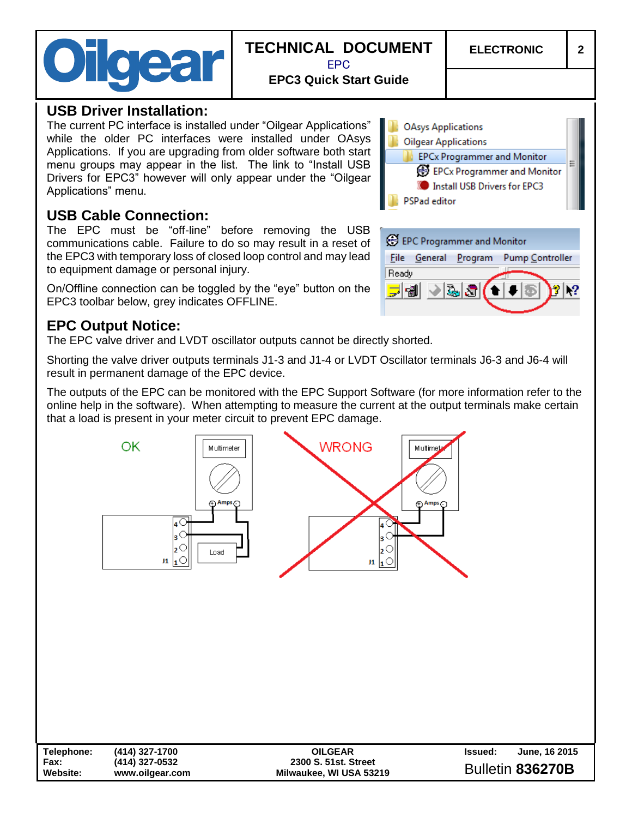| Oilgear |
|---------|
|---------|

# **TECHNICAL DOCUMENT** EPC

**ELECTRONIC 2**

**EPC3 Quick Start Guide**

#### **USB Driver Installation:**

The current PC interface is installed under "Oilgear Applications" while the older PC interfaces were installed under OAsys Applications. If you are upgrading from older software both start menu groups may appear in the list. The link to "Install USB Drivers for EPC3" however will only appear under the "Oilgear Applications" menu.

## **USB Cable Connection:**

The EPC must be "off-line" before removing the USB communications cable. Failure to do so may result in a reset of the EPC3 with temporary loss of closed loop control and may lead to equipment damage or personal injury.

On/Offline connection can be toggled by the "eye" button on the EPC3 toolbar below, grey indicates OFFLINE.

## **EPC Output Notice:**

The EPC valve driver and LVDT oscillator outputs cannot be directly shorted.

Shorting the valve driver outputs terminals J1-3 and J1-4 or LVDT Oscillator terminals J6-3 and J6-4 will result in permanent damage of the EPC device.

The outputs of the EPC can be monitored with the EPC Support Software (for more information refer to the online help in the software). When attempting to measure the current at the output terminals make certain that a load is present in your meter circuit to prevent EPC damage.